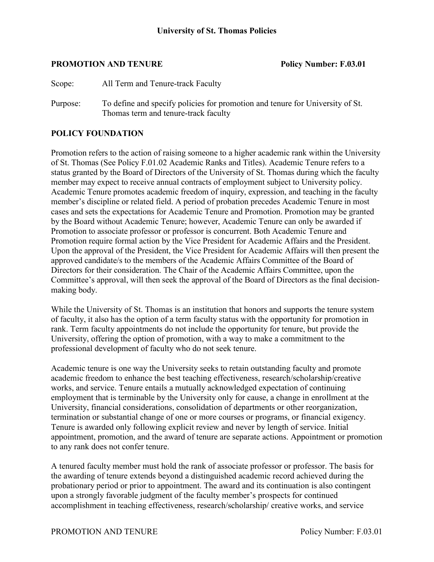#### **PROMOTION AND TENURE Policy Number: F.03.01**

Purpose: To define and specify policies for promotion and tenure for University of St. Thomas term and tenure-track faculty

#### **POLICY FOUNDATION**

Promotion refers to the action of raising someone to a higher academic rank within the University of St. Thomas (See Policy F.01.02 Academic Ranks and Titles). Academic Tenure refers to a status granted by the Board of Directors of the University of St. Thomas during which the faculty member may expect to receive annual contracts of employment subject to University policy. Academic Tenure promotes academic freedom of inquiry, expression, and teaching in the faculty member's discipline or related field. A period of probation precedes Academic Tenure in most cases and sets the expectations for Academic Tenure and Promotion. Promotion may be granted by the Board without Academic Tenure; however, Academic Tenure can only be awarded if Promotion to associate professor or professor is concurrent. Both Academic Tenure and Promotion require formal action by the Vice President for Academic Affairs and the President. Upon the approval of the President, the Vice President for Academic Affairs will then present the approved candidate/s to the members of the Academic Affairs Committee of the Board of Directors for their consideration. The Chair of the Academic Affairs Committee, upon the Committee's approval, will then seek the approval of the Board of Directors as the final decisionmaking body.

While the University of St. Thomas is an institution that honors and supports the tenure system of faculty, it also has the option of a term faculty status with the opportunity for promotion in rank. Term faculty appointments do not include the opportunity for tenure, but provide the University, offering the option of promotion, with a way to make a commitment to the professional development of faculty who do not seek tenure.

Academic tenure is one way the University seeks to retain outstanding faculty and promote academic freedom to enhance the best teaching effectiveness, research/scholarship/creative works, and service. Tenure entails a mutually acknowledged expectation of continuing employment that is terminable by the University only for cause, a change in enrollment at the University, financial considerations, consolidation of departments or other reorganization, termination or substantial change of one or more courses or programs, or financial exigency. Tenure is awarded only following explicit review and never by length of service. Initial appointment, promotion, and the award of tenure are separate actions. Appointment or promotion to any rank does not confer tenure.

A tenured faculty member must hold the rank of associate professor or professor. The basis for the awarding of tenure extends beyond a distinguished academic record achieved during the probationary period or prior to appointment. The award and its continuation is also contingent upon a strongly favorable judgment of the faculty member's prospects for continued accomplishment in teaching effectiveness, research/scholarship/ creative works, and service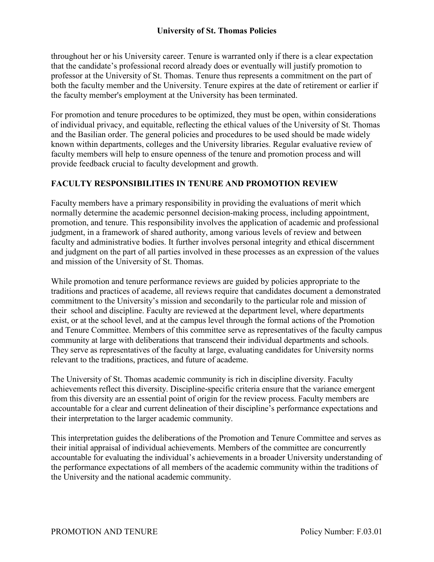throughout her or his University career. Tenure is warranted only if there is a clear expectation that the candidate's professional record already does or eventually will justify promotion to professor at the University of St. Thomas. Tenure thus represents a commitment on the part of both the faculty member and the University. Tenure expires at the date of retirement or earlier if the faculty member's employment at the University has been terminated.

For promotion and tenure procedures to be optimized, they must be open, within considerations of individual privacy, and equitable, reflecting the ethical values of the University of St. Thomas and the Basilian order. The general policies and procedures to be used should be made widely known within departments, colleges and the University libraries. Regular evaluative review of faculty members will help to ensure openness of the tenure and promotion process and will provide feedback crucial to faculty development and growth.

# **FACULTY RESPONSIBILITIES IN TENURE AND PROMOTION REVIEW**

Faculty members have a primary responsibility in providing the evaluations of merit which normally determine the academic personnel decision-making process, including appointment, promotion, and tenure. This responsibility involves the application of academic and professional judgment, in a framework of shared authority, among various levels of review and between faculty and administrative bodies. It further involves personal integrity and ethical discernment and judgment on the part of all parties involved in these processes as an expression of the values and mission of the University of St. Thomas.

While promotion and tenure performance reviews are guided by policies appropriate to the traditions and practices of academe, all reviews require that candidates document a demonstrated commitment to the University's mission and secondarily to the particular role and mission of their school and discipline. Faculty are reviewed at the department level, where departments exist, or at the school level, and at the campus level through the formal actions of the Promotion and Tenure Committee. Members of this committee serve as representatives of the faculty campus community at large with deliberations that transcend their individual departments and schools. They serve as representatives of the faculty at large, evaluating candidates for University norms relevant to the traditions, practices, and future of academe.

The University of St. Thomas academic community is rich in discipline diversity. Faculty achievements reflect this diversity. Discipline-specific criteria ensure that the variance emergent from this diversity are an essential point of origin for the review process. Faculty members are accountable for a clear and current delineation of their discipline's performance expectations and their interpretation to the larger academic community.

This interpretation guides the deliberations of the Promotion and Tenure Committee and serves as their initial appraisal of individual achievements. Members of the committee are concurrently accountable for evaluating the individual's achievements in a broader University understanding of the performance expectations of all members of the academic community within the traditions of the University and the national academic community.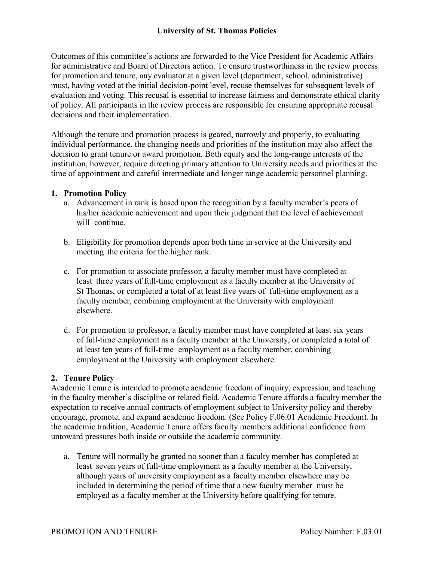Outcomes of this committee's actions are forwarded to the Vice President for Academic Affairs for administrative and Board of Directors action. To ensure trustworthiness in the review process for promotion and tenure, any evaluator at a given level (department, school, administrative) must, having voted at the initial decision-point level, recuse themselves for subsequent levels of evaluation and voting. This recusal is essential to increase fairness and demonstrate ethical clarity of policy. All participants in the review process are responsible for ensuring appropriate recusal decisions and their implementation.

Although the tenure and promotion process is geared, narrowly and properly, to evaluating individual performance, the changing needs and priorities of the institution may also affect the decision to grant tenure or award promotion. Both equity and the long-range interests of the institution, however, require directing primary attention to University needs and priorities at the time of appointment and careful intermediate and longer range academic personnel planning.

#### **1. Promotion Policy**

- a. Advancement in rank is based upon the recognition by a faculty member's peers of his/her academic achievement and upon their judgment that the level of achievement will continue.
- b. Eligibility for promotion depends upon both time in service at the University and meeting the criteria for the higher rank.
- c. For promotion to associate professor, a faculty member must have completed at least three years of full-time employment as a faculty member at the University of St Thomas, or completed a total of at least five years of full-time employment as a faculty member, combining employment at the University with employment elsewhere.
- d. For promotion to professor, a faculty member must have completed at least six years of full-time employment as a faculty member at the University, or completed a total of at least ten years of full-time employment as a faculty member, combining employment at the University with employment elsewhere.

## **2. Tenure Policy**

Academic Tenure is intended to promote academic freedom of inquiry, expression, and teaching in the faculty member's discipline or related field. Academic Tenure affords a faculty member the expectation to receive annual contracts of employment subject to University policy and thereby encourage, promote, and expand academic freedom. (See Policy F.06.01 Academic Freedom). In the academic tradition, Academic Tenure offers faculty members additional confidence from untoward pressures both inside or outside the academic community.

a. Tenure will normally be granted no sooner than a faculty member has completed at least seven years of full-time employment as a faculty member at the University, although years of university employment as a faculty member elsewhere may be included in determining the period of time that a new faculty member must be employed as a faculty member at the University before qualifying for tenure.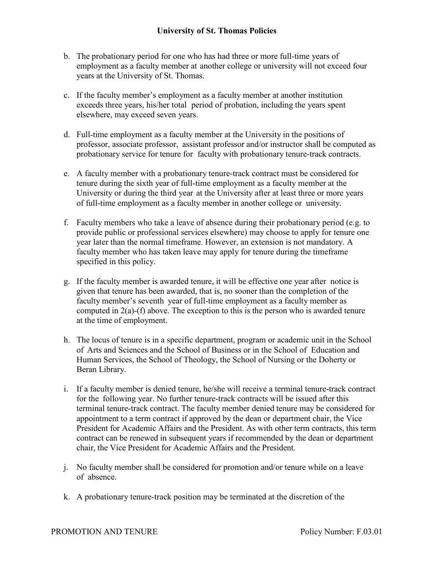- b. The probationary period for one who has had three or more full-time years of employment as a faculty member at another college or university will not exceed four years at the University of St. Thomas.
- c. If the faculty member's employment as a faculty member at another institution exceeds three years, his/her total period of probation, including the years spent elsewhere, may exceed seven years.
- d. Full-time employment as a faculty member at the University in the positions of professor, associate professor, assistant professor and/or instructor shall be computed as probationary service for tenure for faculty with probationary tenure-track contracts.
- e. A faculty member with a probationary tenure-track contract must be considered for tenure during the sixth year of full-time employment as a faculty member at the University or during the third year at the University after at least three or more years of full-time employment as a faculty member in another college or university.
- f. Faculty members who take a leave of absence during their probationary period (e.g. to provide public or professional services elsewhere) may choose to apply for tenure one year later than the normal timeframe. However, an extension is not mandatory. A faculty member who has taken leave may apply for tenure during the timeframe specified in this policy.
- g. If the faculty member is awarded tenure, it will be effective one year after notice is given that tenure has been awarded, that is, no sooner than the completion of the faculty member's seventh year of full-time employment as a faculty member as computed in  $2(a)$ -(f) above. The exception to this is the person who is awarded tenure at the time of employment.
- h. The locus of tenure is in a specific department, program or academic unit in the School of Arts and Sciences and the School of Business or in the School of Education and Human Services, the School of Theology, the School of Nursing or the Doherty or Beran Library.
- i. If a faculty member is denied tenure, he/she will receive a terminal tenure-track contract for the following year. No further tenure-track contracts will be issued after this terminal tenure-track contract. The faculty member denied tenure may be considered for appointment to a term contract if approved by the dean or department chair, the Vice President for Academic Affairs and the President. As with other term contracts, this term contract can be renewed in subsequent years if recommended by the dean or department chair, the Vice President for Academic Affairs and the President.
- j. No faculty member shall be considered for promotion and/or tenure while on a leave of absence.
- k. A probationary tenure-track position may be terminated at the discretion of the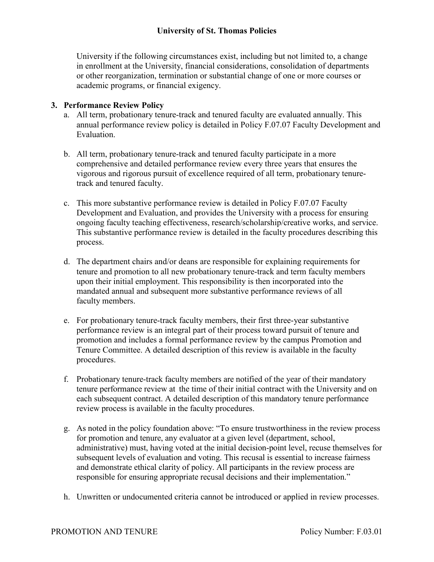University if the following circumstances exist, including but not limited to, a change in enrollment at the University, financial considerations, consolidation of departments or other reorganization, termination or substantial change of one or more courses or academic programs, or financial exigency.

## **3. Performance Review Policy**

- a. All term, probationary tenure-track and tenured faculty are evaluated annually. This annual performance review policy is detailed in Policy F.07.07 Faculty Development and Evaluation.
- b. All term, probationary tenure-track and tenured faculty participate in a more comprehensive and detailed performance review every three years that ensures the vigorous and rigorous pursuit of excellence required of all term, probationary tenuretrack and tenured faculty.
- c. This more substantive performance review is detailed in Policy F.07.07 Faculty Development and Evaluation, and provides the University with a process for ensuring ongoing faculty teaching effectiveness, research/scholarship/creative works, and service. This substantive performance review is detailed in the faculty procedures describing this process.
- d. The department chairs and/or deans are responsible for explaining requirements for tenure and promotion to all new probationary tenure-track and term faculty members upon their initial employment. This responsibility is then incorporated into the mandated annual and subsequent more substantive performance reviews of all faculty members.
- e. For probationary tenure-track faculty members, their first three-year substantive performance review is an integral part of their process toward pursuit of tenure and promotion and includes a formal performance review by the campus Promotion and Tenure Committee. A detailed description of this review is available in the faculty procedures.
- f. Probationary tenure-track faculty members are notified of the year of their mandatory tenure performance review at the time of their initial contract with the University and on each subsequent contract. A detailed description of this mandatory tenure performance review process is available in the faculty procedures.
- g. As noted in the policy foundation above: "To ensure trustworthiness in the review process for promotion and tenure, any evaluator at a given level (department, school, administrative) must, having voted at the initial decision-point level, recuse themselves for subsequent levels of evaluation and voting. This recusal is essential to increase fairness and demonstrate ethical clarity of policy. All participants in the review process are responsible for ensuring appropriate recusal decisions and their implementation."
- h. Unwritten or undocumented criteria cannot be introduced or applied in review processes.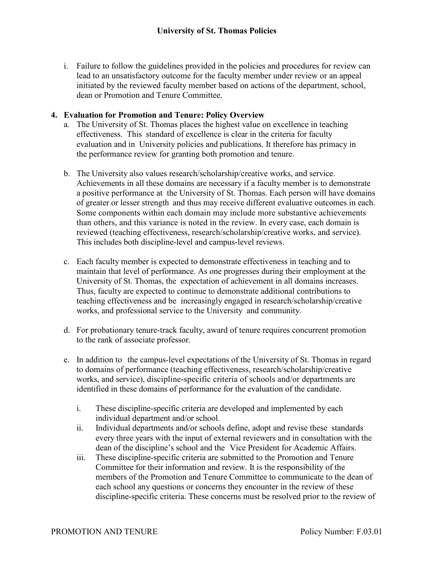i. Failure to follow the guidelines provided in the policies and procedures for review can lead to an unsatisfactory outcome for the faculty member under review or an appeal initiated by the reviewed faculty member based on actions of the department, school, dean or Promotion and Tenure Committee.

#### **4. Evaluation for Promotion and Tenure: Policy Overview**

- a. The University of St. Thomas places the highest value on excellence in teaching effectiveness. This standard of excellence is clear in the criteria for faculty evaluation and in University policies and publications. It therefore has primacy in the performance review for granting both promotion and tenure.
- b. The University also values research/scholarship/creative works, and service. Achievements in all these domains are necessary if a faculty member is to demonstrate a positive performance at the University of St. Thomas. Each person will have domains of greater or lesser strength and thus may receive different evaluative outcomes in each. Some components within each domain may include more substantive achievements than others, and this variance is noted in the review. In every case, each domain is reviewed (teaching effectiveness, research/scholarship/creative works, and service). This includes both discipline-level and campus-level reviews.
- c. Each faculty member is expected to demonstrate effectiveness in teaching and to maintain that level of performance. As one progresses during their employment at the University of St. Thomas, the expectation of achievement in all domains increases. Thus, faculty are expected to continue to demonstrate additional contributions to teaching effectiveness and be increasingly engaged in research/scholarship/creative works, and professional service to the University and community.
- d. For probationary tenure-track faculty, award of tenure requires concurrent promotion to the rank of associate professor.
- e. In addition to the campus-level expectations of the University of St. Thomas in regard to domains of performance (teaching effectiveness, research/scholarship/creative works, and service), discipline-specific criteria of schools and/or departments are identified in these domains of performance for the evaluation of the candidate.
	- i. These discipline-specific criteria are developed and implemented by each individual department and/or school.
	- ii. Individual departments and/or schools define, adopt and revise these standards every three years with the input of external reviewers and in consultation with the dean of the discipline's school and the Vice President for Academic Affairs.
	- iii. These discipline-specific criteria are submitted to the Promotion and Tenure Committee for their information and review. It is the responsibility of the members of the Promotion and Tenure Committee to communicate to the dean of each school any questions or concerns they encounter in the review of these discipline-specific criteria. These concerns must be resolved prior to the review of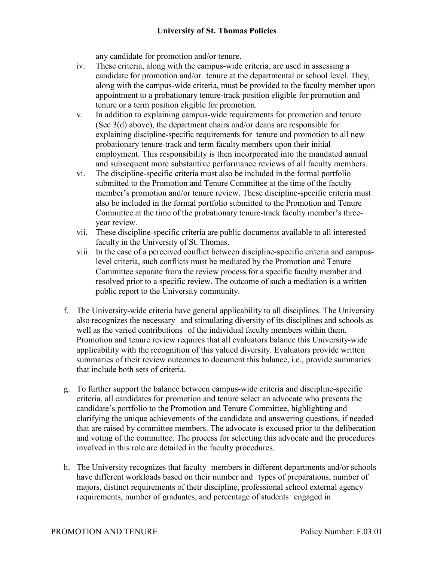any candidate for promotion and/or tenure.

- iv. These criteria, along with the campus-wide criteria, are used in assessing a candidate for promotion and/or tenure at the departmental or school level. They, along with the campus-wide criteria, must be provided to the faculty member upon appointment to a probationary tenure-track position eligible for promotion and tenure or a term position eligible for promotion.
- v. In addition to explaining campus-wide requirements for promotion and tenure (See 3(d) above), the department chairs and/or deans are responsible for explaining discipline-specific requirements for tenure and promotion to all new probationary tenure-track and term faculty members upon their initial employment. This responsibility is then incorporated into the mandated annual and subsequent more substantive performance reviews of all faculty members.
- vi. The discipline-specific criteria must also be included in the formal portfolio submitted to the Promotion and Tenure Committee at the time of the faculty member's promotion and/or tenure review. These discipline-specific criteria must also be included in the formal portfolio submitted to the Promotion and Tenure Committee at the time of the probationary tenure-track faculty member's threeyear review.
- vii. These discipline-specific criteria are public documents available to all interested faculty in the University of St. Thomas.
- viii. In the case of a perceived conflict between discipline-specific criteria and campuslevel criteria, such conflicts must be mediated by the Promotion and Tenure Committee separate from the review process for a specific faculty member and resolved prior to a specific review. The outcome of such a mediation is a written public report to the University community.
- f. The University-wide criteria have general applicability to all disciplines. The University also recognizes the necessary and stimulating diversity of its disciplines and schools as well as the varied contributions of the individual faculty members within them. Promotion and tenure review requires that all evaluators balance this University-wide applicability with the recognition of this valued diversity. Evaluators provide written summaries of their review outcomes to document this balance, i.e., provide summaries that include both sets of criteria.
- g. To further support the balance between campus-wide criteria and discipline-specific criteria, all candidates for promotion and tenure select an advocate who presents the candidate's portfolio to the Promotion and Tenure Committee, highlighting and clarifying the unique achievements of the candidate and answering questions, if needed that are raised by committee members. The advocate is excused prior to the deliberation and voting of the committee. The process for selecting this advocate and the procedures involved in this role are detailed in the faculty procedures.
- h. The University recognizes that faculty members in different departments and/or schools have different workloads based on their number and types of preparations, number of majors, distinct requirements of their discipline, professional school external agency requirements, number of graduates, and percentage of students engaged in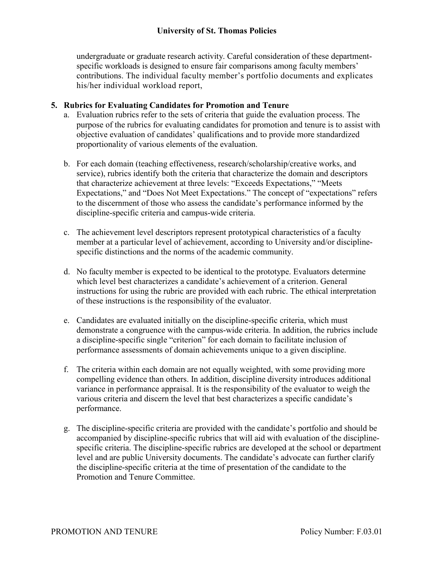undergraduate or graduate research activity. Careful consideration of these departmentspecific workloads is designed to ensure fair comparisons among faculty members' contributions. The individual faculty member's portfolio documents and explicates his/her individual workload report,

## **5. Rubrics for Evaluating Candidates for Promotion and Tenure**

- a. Evaluation rubrics refer to the sets of criteria that guide the evaluation process. The purpose of the rubrics for evaluating candidates for promotion and tenure is to assist with objective evaluation of candidates' qualifications and to provide more standardized proportionality of various elements of the evaluation.
- b. For each domain (teaching effectiveness, research/scholarship/creative works, and service), rubrics identify both the criteria that characterize the domain and descriptors that characterize achievement at three levels: "Exceeds Expectations," "Meets Expectations," and "Does Not Meet Expectations." The concept of "expectations" refers to the discernment of those who assess the candidate's performance informed by the discipline-specific criteria and campus-wide criteria.
- c. The achievement level descriptors represent prototypical characteristics of a faculty member at a particular level of achievement, according to University and/or disciplinespecific distinctions and the norms of the academic community.
- d. No faculty member is expected to be identical to the prototype. Evaluators determine which level best characterizes a candidate's achievement of a criterion. General instructions for using the rubric are provided with each rubric. The ethical interpretation of these instructions is the responsibility of the evaluator.
- e. Candidates are evaluated initially on the discipline-specific criteria, which must demonstrate a congruence with the campus-wide criteria. In addition, the rubrics include a discipline-specific single "criterion" for each domain to facilitate inclusion of performance assessments of domain achievements unique to a given discipline.
- f. The criteria within each domain are not equally weighted, with some providing more compelling evidence than others. In addition, discipline diversity introduces additional variance in performance appraisal. It is the responsibility of the evaluator to weigh the various criteria and discern the level that best characterizes a specific candidate's performance.
- g. The discipline-specific criteria are provided with the candidate's portfolio and should be accompanied by discipline-specific rubrics that will aid with evaluation of the disciplinespecific criteria. The discipline-specific rubrics are developed at the school or department level and are public University documents. The candidate's advocate can further clarify the discipline-specific criteria at the time of presentation of the candidate to the Promotion and Tenure Committee.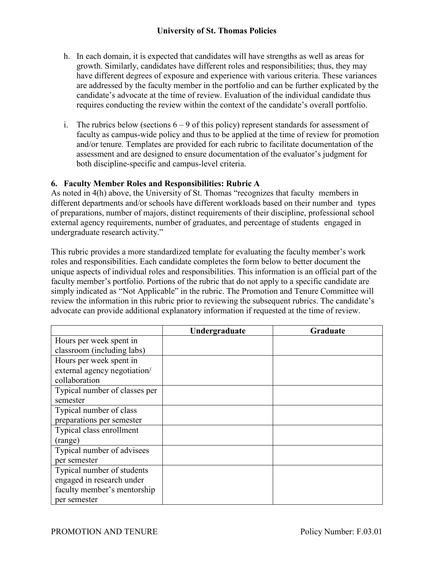- h. In each domain, it is expected that candidates will have strengths as well as areas for growth. Similarly, candidates have different roles and responsibilities; thus, they may have different degrees of exposure and experience with various criteria. These variances are addressed by the faculty member in the portfolio and can be further explicated by the candidate's advocate at the time of review. Evaluation of the individual candidate thus requires conducting the review within the context of the candidate's overall portfolio.
- i. The rubrics below (sections  $6 9$  of this policy) represent standards for assessment of faculty as campus-wide policy and thus to be applied at the time of review for promotion and/or tenure. Templates are provided for each rubric to facilitate documentation of the assessment and are designed to ensure documentation of the evaluator's judgment for both discipline-specific and campus-level criteria.

## **6. Faculty Member Roles and Responsibilities: Rubric A**

As noted in 4(h) above, the University of St. Thomas "recognizes that faculty members in different departments and/or schools have different workloads based on their number and types of preparations, number of majors, distinct requirements of their discipline, professional school external agency requirements, number of graduates, and percentage of students engaged in undergraduate research activity."

This rubric provides a more standardized template for evaluating the faculty member's work roles and responsibilities. Each candidate completes the form below to better document the unique aspects of individual roles and responsibilities. This information is an official part of the faculty member's portfolio. Portions of the rubric that do not apply to a specific candidate are simply indicated as "Not Applicable" in the rubric. The Promotion and Tenure Committee will review the information in this rubric prior to reviewing the subsequent rubrics. The candidate's advocate can provide additional explanatory information if requested at the time of review.

|                               | Undergraduate | Graduate |
|-------------------------------|---------------|----------|
| Hours per week spent in       |               |          |
| classroom (including labs)    |               |          |
| Hours per week spent in       |               |          |
| external agency negotiation/  |               |          |
| collaboration                 |               |          |
| Typical number of classes per |               |          |
| semester                      |               |          |
| Typical number of class       |               |          |
| preparations per semester     |               |          |
| Typical class enrollment      |               |          |
| (range)                       |               |          |
| Typical number of advisees    |               |          |
| per semester                  |               |          |
| Typical number of students    |               |          |
| engaged in research under     |               |          |
| faculty member's mentorship   |               |          |
| per semester                  |               |          |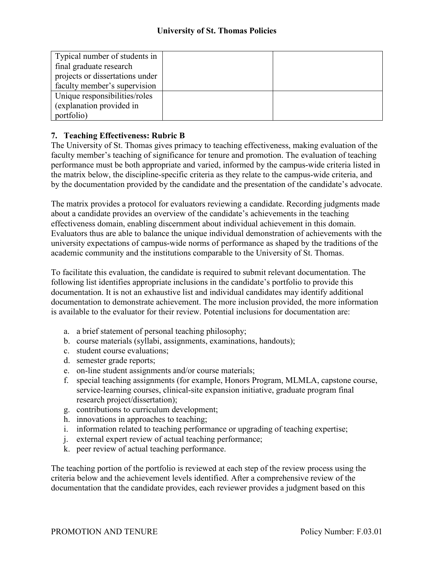| Typical number of students in   |  |
|---------------------------------|--|
| final graduate research         |  |
| projects or dissertations under |  |
| faculty member's supervision    |  |
| Unique responsibilities/roles   |  |
| (explanation provided in        |  |
| portfolio)                      |  |

## **7. Teaching Effectiveness: Rubric B**

The University of St. Thomas gives primacy to teaching effectiveness, making evaluation of the faculty member's teaching of significance for tenure and promotion. The evaluation of teaching performance must be both appropriate and varied, informed by the campus-wide criteria listed in the matrix below, the discipline-specific criteria as they relate to the campus-wide criteria, and by the documentation provided by the candidate and the presentation of the candidate's advocate.

The matrix provides a protocol for evaluators reviewing a candidate. Recording judgments made about a candidate provides an overview of the candidate's achievements in the teaching effectiveness domain, enabling discernment about individual achievement in this domain. Evaluators thus are able to balance the unique individual demonstration of achievements with the university expectations of campus-wide norms of performance as shaped by the traditions of the academic community and the institutions comparable to the University of St. Thomas.

To facilitate this evaluation, the candidate is required to submit relevant documentation. The following list identifies appropriate inclusions in the candidate's portfolio to provide this documentation. It is not an exhaustive list and individual candidates may identify additional documentation to demonstrate achievement. The more inclusion provided, the more information is available to the evaluator for their review. Potential inclusions for documentation are:

- a. a brief statement of personal teaching philosophy;
- b. course materials (syllabi, assignments, examinations, handouts);
- c. student course evaluations;
- d. semester grade reports;
- e. on-line student assignments and/or course materials;
- f. special teaching assignments (for example, Honors Program, MLMLA, capstone course, service-learning courses, clinical-site expansion initiative, graduate program final research project/dissertation);
- g. contributions to curriculum development;
- h. innovations in approaches to teaching;
- i. information related to teaching performance or upgrading of teaching expertise;
- j. external expert review of actual teaching performance;
- k. peer review of actual teaching performance.

The teaching portion of the portfolio is reviewed at each step of the review process using the criteria below and the achievement levels identified. After a comprehensive review of the documentation that the candidate provides, each reviewer provides a judgment based on this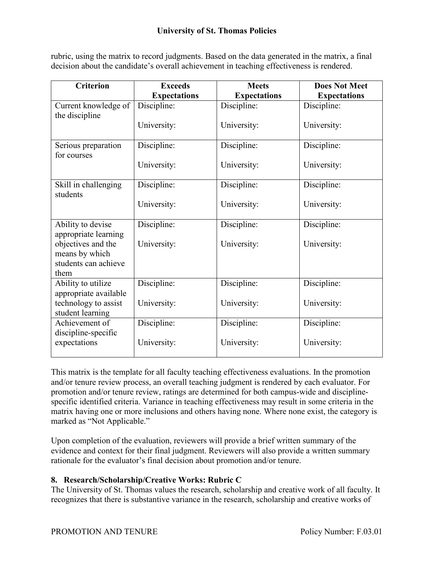rubric, using the matrix to record judgments. Based on the data generated in the matrix, a final decision about the candidate's overall achievement in teaching effectiveness is rendered.

| <b>Criterion</b>                                                     | <b>Exceeds</b>      | <b>Meets</b>        | <b>Does Not Meet</b> |
|----------------------------------------------------------------------|---------------------|---------------------|----------------------|
|                                                                      | <b>Expectations</b> | <b>Expectations</b> | <b>Expectations</b>  |
| Current knowledge of<br>the discipline                               | Discipline:         | Discipline:         | Discipline:          |
|                                                                      | University:         | University:         | University:          |
| Serious preparation<br>for courses                                   | Discipline:         | Discipline:         | Discipline:          |
|                                                                      | University:         | University:         | University:          |
| Skill in challenging<br>students                                     | Discipline:         | Discipline:         | Discipline:          |
|                                                                      | University:         | University:         | University:          |
| Ability to devise<br>appropriate learning                            | Discipline:         | Discipline:         | Discipline:          |
| objectives and the<br>means by which<br>students can achieve<br>them | University:         | University:         | University:          |
| Ability to utilize<br>appropriate available                          | Discipline:         | Discipline:         | Discipline:          |
| technology to assist<br>student learning                             | University:         | University:         | University:          |
| Achievement of<br>discipline-specific                                | Discipline:         | Discipline:         | Discipline:          |
| expectations                                                         | University:         | University:         | University:          |

This matrix is the template for all faculty teaching effectiveness evaluations. In the promotion and/or tenure review process, an overall teaching judgment is rendered by each evaluator. For promotion and/or tenure review, ratings are determined for both campus-wide and disciplinespecific identified criteria. Variance in teaching effectiveness may result in some criteria in the matrix having one or more inclusions and others having none. Where none exist, the category is marked as "Not Applicable."

Upon completion of the evaluation, reviewers will provide a brief written summary of the evidence and context for their final judgment. Reviewers will also provide a written summary rationale for the evaluator's final decision about promotion and/or tenure.

## **8. Research/Scholarship/Creative Works: Rubric C**

The University of St. Thomas values the research, scholarship and creative work of all faculty. It recognizes that there is substantive variance in the research, scholarship and creative works of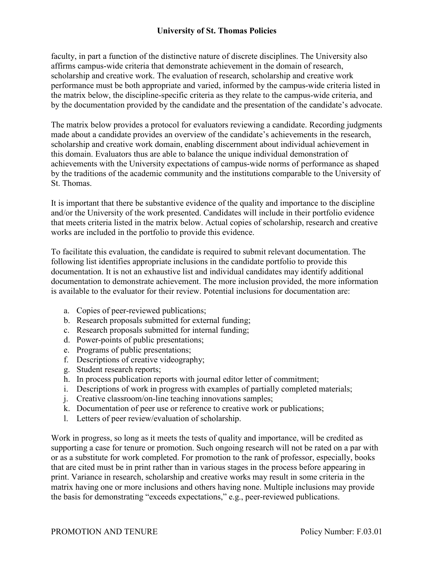faculty, in part a function of the distinctive nature of discrete disciplines. The University also affirms campus-wide criteria that demonstrate achievement in the domain of research, scholarship and creative work. The evaluation of research, scholarship and creative work performance must be both appropriate and varied, informed by the campus-wide criteria listed in the matrix below, the discipline-specific criteria as they relate to the campus-wide criteria, and by the documentation provided by the candidate and the presentation of the candidate's advocate.

The matrix below provides a protocol for evaluators reviewing a candidate. Recording judgments made about a candidate provides an overview of the candidate's achievements in the research, scholarship and creative work domain, enabling discernment about individual achievement in this domain. Evaluators thus are able to balance the unique individual demonstration of achievements with the University expectations of campus-wide norms of performance as shaped by the traditions of the academic community and the institutions comparable to the University of St. Thomas.

It is important that there be substantive evidence of the quality and importance to the discipline and/or the University of the work presented. Candidates will include in their portfolio evidence that meets criteria listed in the matrix below. Actual copies of scholarship, research and creative works are included in the portfolio to provide this evidence.

To facilitate this evaluation, the candidate is required to submit relevant documentation. The following list identifies appropriate inclusions in the candidate portfolio to provide this documentation. It is not an exhaustive list and individual candidates may identify additional documentation to demonstrate achievement. The more inclusion provided, the more information is available to the evaluator for their review. Potential inclusions for documentation are:

- a. Copies of peer-reviewed publications;
- b. Research proposals submitted for external funding;
- c. Research proposals submitted for internal funding;
- d. Power-points of public presentations;
- e. Programs of public presentations;
- f. Descriptions of creative videography;
- g. Student research reports;
- h. In process publication reports with journal editor letter of commitment;
- i. Descriptions of work in progress with examples of partially completed materials;
- j. Creative classroom/on-line teaching innovations samples;
- k. Documentation of peer use or reference to creative work or publications;
- l. Letters of peer review/evaluation of scholarship.

Work in progress, so long as it meets the tests of quality and importance, will be credited as supporting a case for tenure or promotion. Such ongoing research will not be rated on a par with or as a substitute for work completed. For promotion to the rank of professor, especially, books that are cited must be in print rather than in various stages in the process before appearing in print. Variance in research, scholarship and creative works may result in some criteria in the matrix having one or more inclusions and others having none. Multiple inclusions may provide the basis for demonstrating "exceeds expectations," e.g., peer-reviewed publications.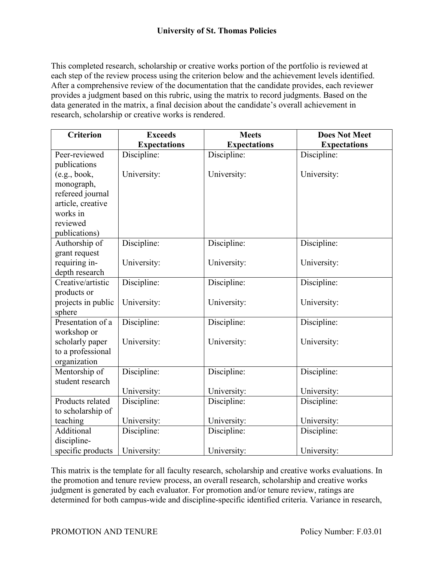This completed research, scholarship or creative works portion of the portfolio is reviewed at each step of the review process using the criterion below and the achievement levels identified. After a comprehensive review of the documentation that the candidate provides, each reviewer provides a judgment based on this rubric, using the matrix to record judgments. Based on the data generated in the matrix, a final decision about the candidate's overall achievement in research, scholarship or creative works is rendered.

| <b>Criterion</b>   | <b>Exceeds</b>      | <b>Meets</b>        | <b>Does Not Meet</b> |
|--------------------|---------------------|---------------------|----------------------|
|                    | <b>Expectations</b> | <b>Expectations</b> | <b>Expectations</b>  |
| Peer-reviewed      | Discipline:         | Discipline:         | Discipline:          |
| publications       |                     |                     |                      |
| (e.g., book,       | University:         | University:         | University:          |
| monograph,         |                     |                     |                      |
| refereed journal   |                     |                     |                      |
| article, creative  |                     |                     |                      |
| works in           |                     |                     |                      |
| reviewed           |                     |                     |                      |
| publications)      |                     |                     |                      |
| Authorship of      | Discipline:         | Discipline:         | Discipline:          |
| grant request      |                     |                     |                      |
| requiring in-      | University:         | University:         | University:          |
| depth research     |                     |                     |                      |
| Creative/artistic  | Discipline:         | Discipline:         | Discipline:          |
| products or        |                     |                     |                      |
| projects in public | University:         | University:         | University:          |
| sphere             |                     |                     |                      |
| Presentation of a  | Discipline:         | Discipline:         | Discipline:          |
| workshop or        |                     |                     |                      |
| scholarly paper    | University:         | University:         | University:          |
| to a professional  |                     |                     |                      |
| organization       |                     |                     |                      |
| Mentorship of      | Discipline:         | Discipline:         | Discipline:          |
| student research   |                     |                     |                      |
|                    | University:         | University:         | University:          |
| Products related   | Discipline:         | Discipline:         | Discipline:          |
| to scholarship of  |                     |                     |                      |
| teaching           | University:         | University:         | University:          |
| Additional         | Discipline:         | Discipline:         | Discipline:          |
| discipline-        |                     |                     |                      |
| specific products  | University:         | University:         | University:          |

This matrix is the template for all faculty research, scholarship and creative works evaluations. In the promotion and tenure review process, an overall research, scholarship and creative works judgment is generated by each evaluator. For promotion and/or tenure review, ratings are determined for both campus-wide and discipline-specific identified criteria. Variance in research,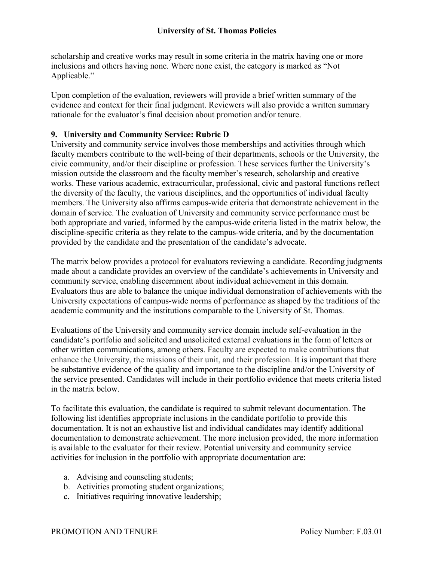scholarship and creative works may result in some criteria in the matrix having one or more inclusions and others having none. Where none exist, the category is marked as "Not Applicable."

Upon completion of the evaluation, reviewers will provide a brief written summary of the evidence and context for their final judgment. Reviewers will also provide a written summary rationale for the evaluator's final decision about promotion and/or tenure.

# **9. University and Community Service: Rubric D**

University and community service involves those memberships and activities through which faculty members contribute to the well-being of their departments, schools or the University, the civic community, and/or their discipline or profession. These services further the University's mission outside the classroom and the faculty member's research, scholarship and creative works. These various academic, extracurricular, professional, civic and pastoral functions reflect the diversity of the faculty, the various disciplines, and the opportunities of individual faculty members. The University also affirms campus-wide criteria that demonstrate achievement in the domain of service. The evaluation of University and community service performance must be both appropriate and varied, informed by the campus-wide criteria listed in the matrix below, the discipline-specific criteria as they relate to the campus-wide criteria, and by the documentation provided by the candidate and the presentation of the candidate's advocate.

The matrix below provides a protocol for evaluators reviewing a candidate. Recording judgments made about a candidate provides an overview of the candidate's achievements in University and community service, enabling discernment about individual achievement in this domain. Evaluators thus are able to balance the unique individual demonstration of achievements with the University expectations of campus-wide norms of performance as shaped by the traditions of the academic community and the institutions comparable to the University of St. Thomas.

Evaluations of the University and community service domain include self-evaluation in the candidate's portfolio and solicited and unsolicited external evaluations in the form of letters or other written communications, among others. Faculty are expected to make contributions that enhance the University, the missions of their unit, and their profession. It is important that there be substantive evidence of the quality and importance to the discipline and/or the University of the service presented. Candidates will include in their portfolio evidence that meets criteria listed in the matrix below.

To facilitate this evaluation, the candidate is required to submit relevant documentation. The following list identifies appropriate inclusions in the candidate portfolio to provide this documentation. It is not an exhaustive list and individual candidates may identify additional documentation to demonstrate achievement. The more inclusion provided, the more information is available to the evaluator for their review. Potential university and community service activities for inclusion in the portfolio with appropriate documentation are:

- a. Advising and counseling students;
- b. Activities promoting student organizations;
- c. Initiatives requiring innovative leadership;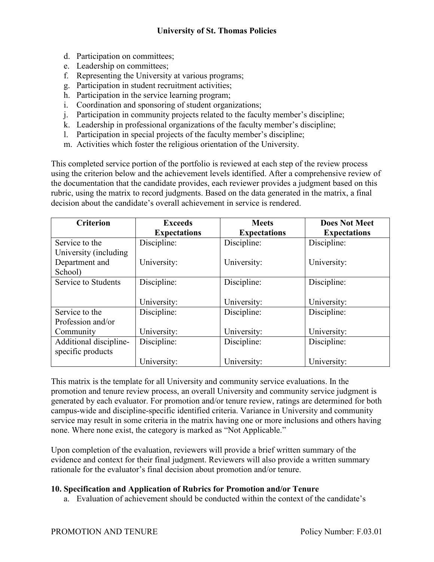- d. Participation on committees;
- e. Leadership on committees;
- f. Representing the University at various programs;
- g. Participation in student recruitment activities;
- h. Participation in the service learning program;
- i. Coordination and sponsoring of student organizations;
- j. Participation in community projects related to the faculty member's discipline;
- k. Leadership in professional organizations of the faculty member's discipline;
- l. Participation in special projects of the faculty member's discipline;
- m. Activities which foster the religious orientation of the University.

This completed service portion of the portfolio is reviewed at each step of the review process using the criterion below and the achievement levels identified. After a comprehensive review of the documentation that the candidate provides, each reviewer provides a judgment based on this rubric, using the matrix to record judgments. Based on the data generated in the matrix, a final decision about the candidate's overall achievement in service is rendered.

| <b>Criterion</b>       | <b>Exceeds</b><br><b>Expectations</b> | <b>Meets</b><br><b>Expectations</b> | <b>Does Not Meet</b><br><b>Expectations</b> |
|------------------------|---------------------------------------|-------------------------------------|---------------------------------------------|
| Service to the         | Discipline:                           | Discipline:                         | Discipline:                                 |
| University (including  |                                       |                                     |                                             |
| Department and         | University:                           | University:                         | University:                                 |
| School)                |                                       |                                     |                                             |
| Service to Students    | Discipline:                           | Discipline:                         | Discipline:                                 |
|                        |                                       |                                     |                                             |
|                        | University:                           | University:                         | University:                                 |
| Service to the         | Discipline:                           | Discipline:                         | Discipline:                                 |
| Profession and/or      |                                       |                                     |                                             |
| Community              | University:                           | University:                         | University:                                 |
| Additional discipline- | Discipline:                           | Discipline:                         | Discipline:                                 |
| specific products      |                                       |                                     |                                             |
|                        | University:                           | University:                         | University:                                 |

This matrix is the template for all University and community service evaluations. In the promotion and tenure review process, an overall University and community service judgment is generated by each evaluator. For promotion and/or tenure review, ratings are determined for both campus-wide and discipline-specific identified criteria. Variance in University and community service may result in some criteria in the matrix having one or more inclusions and others having none. Where none exist, the category is marked as "Not Applicable."

Upon completion of the evaluation, reviewers will provide a brief written summary of the evidence and context for their final judgment. Reviewers will also provide a written summary rationale for the evaluator's final decision about promotion and/or tenure.

#### **10. Specification and Application of Rubrics for Promotion and/or Tenure**

a. Evaluation of achievement should be conducted within the context of the candidate's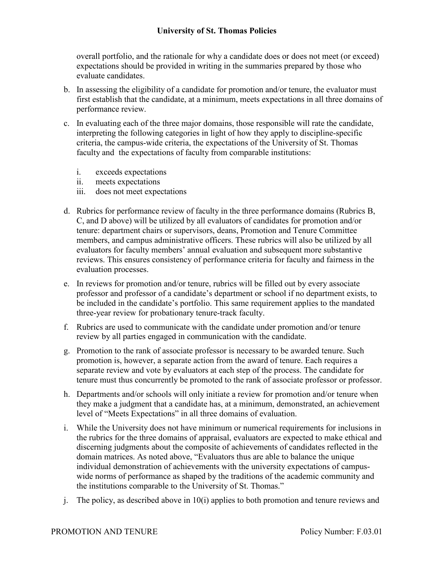overall portfolio, and the rationale for why a candidate does or does not meet (or exceed) expectations should be provided in writing in the summaries prepared by those who evaluate candidates.

- b. In assessing the eligibility of a candidate for promotion and/or tenure, the evaluator must first establish that the candidate, at a minimum, meets expectations in all three domains of performance review.
- c. In evaluating each of the three major domains, those responsible will rate the candidate, interpreting the following categories in light of how they apply to discipline-specific criteria, the campus-wide criteria, the expectations of the University of St. Thomas faculty and the expectations of faculty from comparable institutions:
	- i. exceeds expectations
	- ii. meets expectations
	- iii. does not meet expectations
- d. Rubrics for performance review of faculty in the three performance domains (Rubrics B, C, and D above) will be utilized by all evaluators of candidates for promotion and/or tenure: department chairs or supervisors, deans, Promotion and Tenure Committee members, and campus administrative officers. These rubrics will also be utilized by all evaluators for faculty members' annual evaluation and subsequent more substantive reviews. This ensures consistency of performance criteria for faculty and fairness in the evaluation processes.
- e. In reviews for promotion and/or tenure, rubrics will be filled out by every associate professor and professor of a candidate's department or school if no department exists, to be included in the candidate's portfolio. This same requirement applies to the mandated three-year review for probationary tenure-track faculty.
- f. Rubrics are used to communicate with the candidate under promotion and/or tenure review by all parties engaged in communication with the candidate.
- g. Promotion to the rank of associate professor is necessary to be awarded tenure. Such promotion is, however, a separate action from the award of tenure. Each requires a separate review and vote by evaluators at each step of the process. The candidate for tenure must thus concurrently be promoted to the rank of associate professor or professor.
- h. Departments and/or schools will only initiate a review for promotion and/or tenure when they make a judgment that a candidate has, at a minimum, demonstrated, an achievement level of "Meets Expectations" in all three domains of evaluation.
- i. While the University does not have minimum or numerical requirements for inclusions in the rubrics for the three domains of appraisal, evaluators are expected to make ethical and discerning judgments about the composite of achievements of candidates reflected in the domain matrices. As noted above, "Evaluators thus are able to balance the unique individual demonstration of achievements with the university expectations of campuswide norms of performance as shaped by the traditions of the academic community and the institutions comparable to the University of St. Thomas."
- j. The policy, as described above in 10(i) applies to both promotion and tenure reviews and